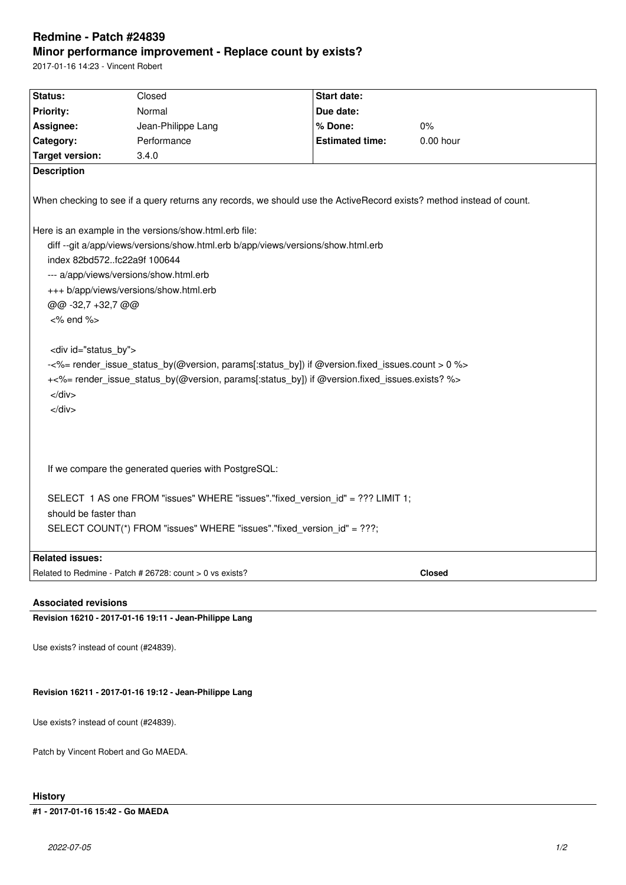# **Redmine - Patch #24839 Minor performance improvement - Replace count by exists?**

2017-01-16 14:23 - Vincent Robert

| Status:                                                                                                              | Closed             | <b>Start date:</b>     |           |
|----------------------------------------------------------------------------------------------------------------------|--------------------|------------------------|-----------|
| <b>Priority:</b>                                                                                                     | Normal             | Due date:              |           |
| Assignee:                                                                                                            | Jean-Philippe Lang | % Done:                | 0%        |
| Category:                                                                                                            | Performance        | <b>Estimated time:</b> | 0.00 hour |
|                                                                                                                      |                    |                        |           |
| <b>Target version:</b>                                                                                               | 3.4.0              |                        |           |
| <b>Description</b>                                                                                                   |                    |                        |           |
| When checking to see if a query returns any records, we should use the ActiveRecord exists? method instead of count. |                    |                        |           |
| Here is an example in the versions/show.html.erb file:                                                               |                    |                        |           |
| diff --git a/app/views/versions/show.html.erb b/app/views/versions/show.html.erb                                     |                    |                        |           |
| index 82bd572fc22a9f 100644                                                                                          |                    |                        |           |
| --- a/app/views/versions/show.html.erb                                                                               |                    |                        |           |
| +++ b/app/views/versions/show.html.erb                                                                               |                    |                        |           |
| @@ -32,7 +32,7 @@                                                                                                    |                    |                        |           |
| $<\%$ end $\%$                                                                                                       |                    |                        |           |
|                                                                                                                      |                    |                        |           |
| <div id="status by"></div>                                                                                           |                    |                        |           |
| -<%= render_issue_status_by(@version, params[:status_by]) if @version.fixed_issues.count > 0 %>                      |                    |                        |           |
| +<%= render_issue_status_by(@version, params[:status_by]) if @version.fixed_issues.exists? %>                        |                    |                        |           |
| $\langle$ div $>$                                                                                                    |                    |                        |           |
| $\langle$ div $\rangle$                                                                                              |                    |                        |           |
|                                                                                                                      |                    |                        |           |
|                                                                                                                      |                    |                        |           |
|                                                                                                                      |                    |                        |           |
| If we compare the generated queries with PostgreSQL:                                                                 |                    |                        |           |
|                                                                                                                      |                    |                        |           |
| SELECT 1 AS one FROM "issues" WHERE "issues"."fixed_version_id" = ??? LIMIT 1;                                       |                    |                        |           |
| should be faster than                                                                                                |                    |                        |           |
|                                                                                                                      |                    |                        |           |
| SELECT COUNT(*) FROM "issues" WHERE "issues"."fixed_version_id" = ???;                                               |                    |                        |           |
| <b>Related issues:</b>                                                                                               |                    |                        |           |
| Related to Redmine - Patch # 26728: count > 0 vs exists?<br><b>Closed</b>                                            |                    |                        |           |
|                                                                                                                      |                    |                        |           |
|                                                                                                                      |                    |                        |           |
| <b>Associated revisions</b><br><b>Building 40040 - 0047 04 40 40 44 - 1-50 - Blillian - 1-5</b>                      |                    |                        |           |

**Revision 16210 - 2017-01-16 19:11 - Jean-Philippe Lang**

Use exists? instead of count (#24839).

## **Revision 16211 - 2017-01-16 19:12 - Jean-Philippe Lang**

Use exists? instead of count (#24839).

Patch by Vincent Robert and Go MAEDA.

## **History**

## **#1 - 2017-01-16 15:42 - Go MAEDA**